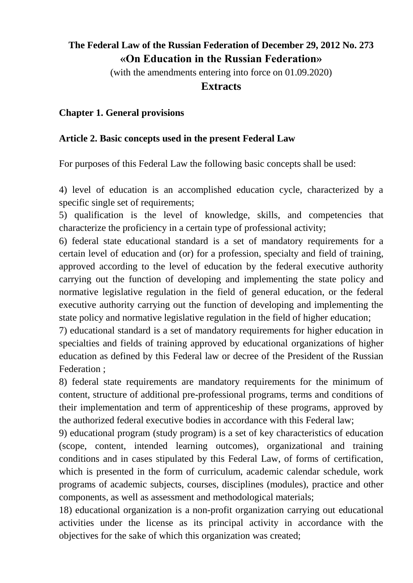# **The Federal Law of the Russian Federation of December 29, 2012 No. 273 «On Education in the Russian Federation»**

(with the amendments entering into force on 01.09.2020)

#### **Extracts**

#### **Chapter 1. General provisions**

#### **Article 2. Basic concepts used in the present Federal Law**

For purposes of this Federal Law the following basic concepts shall be used:

4) level of education is an accomplished education cycle, characterized by a specific single set of requirements;

5) qualification is the level of knowledge, skills, and competencies that characterize the proficiency in a certain type of professional activity;

6) federal state educational standard is a set of mandatory requirements for a certain level of education and (or) for a profession, specialty and field of training, approved according to the level of education by the federal executive authority carrying out the function of developing and implementing the state policy and normative legislative regulation in the field of general education, or the federal executive authority carrying out the function of developing and implementing the state policy and normative legislative regulation in the field of higher education;

7) educational standard is a set of mandatory requirements for higher education in specialties and fields of training approved by educational organizations of higher education as defined by this Federal law or decree of the President of the Russian Federation ;

8) federal state requirements are mandatory requirements for the minimum of content, structure of additional pre-professional programs, terms and conditions of their implementation and term of apprenticeship of these programs, approved by the authorized federal executive bodies in accordance with this Federal law;

9) educational program (study program) is a set of key characteristics of education (scope, content, intended learning outcomes), organizational and training conditions and in cases stipulated by this Federal Law, of forms of certification, which is presented in the form of curriculum, academic calendar schedule, work programs of academic subjects, courses, disciplines (modules), practice and other components, as well as assessment and methodological materials;

18) educational organization is a non-profit organization carrying out educational activities under the license as its principal activity in accordance with the objectives for the sake of which this organization was created;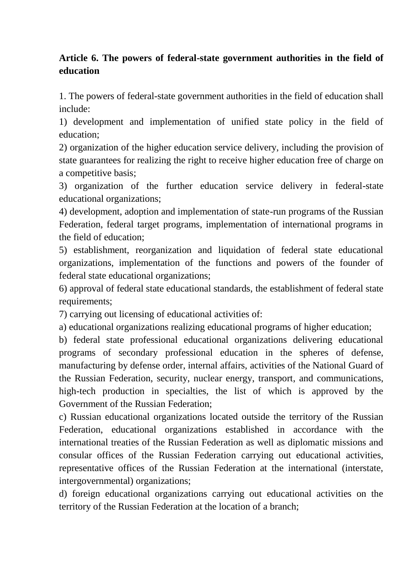## **Article 6. The powers of federal-state government authorities in the field of education**

1. The powers of federal-state government authorities in the field of education shall include:

1) development and implementation of unified state policy in the field of education;

2) organization of the higher education service delivery, including the provision of state guarantees for realizing the right to receive higher education free of charge on a competitive basis;

3) organization of the further education service delivery in federal-state educational organizations;

4) development, adoption and implementation of state-run programs of the Russian Federation, federal target programs, implementation of international programs in the field of education;

5) establishment, reorganization and liquidation of federal state educational organizations, implementation of the functions and powers of the founder of federal state educational organizations;

6) approval of federal state educational standards, the establishment of federal state requirements;

7) carrying out licensing of educational activities of:

a) educational organizations realizing educational programs of higher education;

b) federal state professional educational organizations delivering educational programs of secondary professional education in the spheres of defense, manufacturing by defense order, internal affairs, activities of the National Guard of the Russian Federation, security, nuclear energy, transport, and communications, high-tech production in specialties, the list of which is approved by the Government of the Russian Federation;

c) Russian educational organizations located outside the territory of the Russian Federation, educational organizations established in accordance with the international treaties of the Russian Federation as well as diplomatic missions and consular offices of the Russian Federation carrying out educational activities, representative offices of the Russian Federation at the international (interstate, intergovernmental) organizations;

d) foreign educational organizations carrying out educational activities on the territory of the Russian Federation at the location of a branch;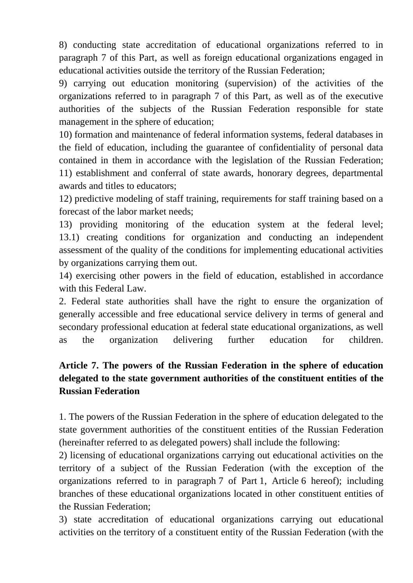8) conducting state accreditation of educational organizations referred to in paragraph 7 of this Part, as well as foreign educational organizations engaged in educational activities outside the territory of the Russian Federation;

9) carrying out education monitoring (supervision) of the activities of the organizations referred to in paragraph 7 of this Part, as well as of the executive authorities of the subjects of the Russian Federation responsible for state management in the sphere of education;

10) formation and maintenance of federal information systems, federal databases in the field of education, including the guarantee of confidentiality of personal data contained in them in accordance with the legislation of the Russian Federation; 11) establishment and conferral of state awards, honorary degrees, departmental awards and titles to educators;

12) predictive modeling of staff training, requirements for staff training based on a forecast of the labor market needs;

13) providing monitoring of the education system at the federal level; 13.1) creating conditions for organization and conducting an independent assessment of the quality of the conditions for implementing educational activities by organizations carrying them out.

14) exercising other powers in the field of education, established in accordance with this Federal Law.

2. Federal state authorities shall have the right to ensure the organization of generally accessible and free educational service delivery in terms of general and secondary professional education at federal state educational organizations, as well as the organization delivering further education for children.

## **Article 7. The powers of the Russian Federation in the sphere of education delegated to the state government authorities of the constituent entities of the Russian Federation**

1. The powers of the Russian Federation in the sphere of education delegated to the state government authorities of the constituent entities of the Russian Federation (hereinafter referred to as delegated powers) shall include the following:

2) licensing of educational organizations carrying out educational activities on the territory of a subject of the Russian Federation (with the exception of the organizations referred to in paragraph 7 of Part 1, Article 6 hereof); including branches of these educational organizations located in other constituent entities of the Russian Federation;

3) state accreditation of educational organizations carrying out educational activities on the territory of a constituent entity of the Russian Federation (with the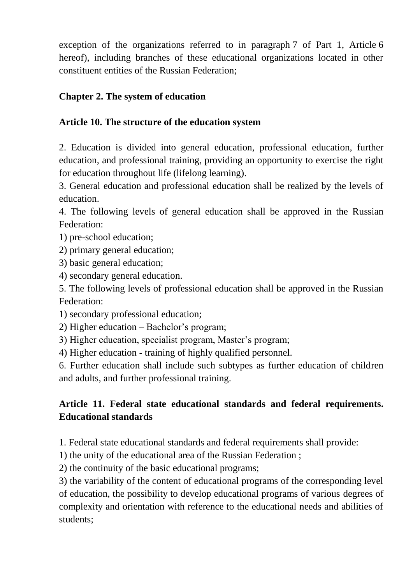exception of the organizations referred to in paragraph 7 of Part 1, Article 6 hereof), including branches of these educational organizations located in other constituent entities of the Russian Federation;

## **Chapter 2. The system of education**

### **Article 10. The structure of the education system**

2. Education is divided into general education, professional education, further education, and professional training, providing an opportunity to exercise the right for education throughout life (lifelong learning).

3. General education and professional education shall be realized by the levels of education.

4. The following levels of general education shall be approved in the Russian Federation:

1) pre-school education;

2) primary general education;

3) basic general education;

4) secondary general education.

5. The following levels of professional education shall be approved in the Russian Federation:

1) secondary professional education;

2) Higher education – Bachelor's program;

3) Higher education, specialist program, Master's program;

4) Higher education - training of highly qualified personnel.

6. Further education shall include such subtypes as further education of children and adults, and further professional training.

# **Article 11. Federal state educational standards and federal requirements. Educational standards**

1. Federal state educational standards and federal requirements shall provide:

1) the unity of the educational area of the Russian Federation ;

2) the continuity of the basic educational programs;

3) the variability of the content of educational programs of the corresponding level of education, the possibility to develop educational programs of various degrees of complexity and orientation with reference to the educational needs and abilities of students;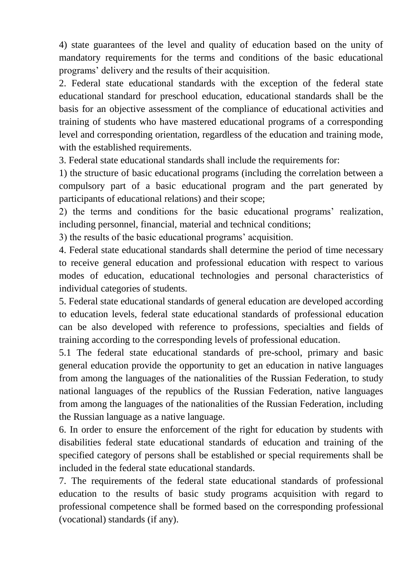4) state guarantees of the level and quality of education based on the unity of mandatory requirements for the terms and conditions of the basic educational programs' delivery and the results of their acquisition.

2. Federal state educational standards with the exception of the federal state educational standard for preschool education, educational standards shall be the basis for an objective assessment of the compliance of educational activities and training of students who have mastered educational programs of a corresponding level and corresponding orientation, regardless of the education and training mode, with the established requirements.

3. Federal state educational standards shall include the requirements for:

1) the structure of basic educational programs (including the correlation between a compulsory part of a basic educational program and the part generated by participants of educational relations) and their scope;

2) the terms and conditions for the basic educational programs' realization, including personnel, financial, material and technical conditions;

3) the results of the basic educational programs' acquisition.

4. Federal state educational standards shall determine the period of time necessary to receive general education and professional education with respect to various modes of education, educational technologies and personal characteristics of individual categories of students.

5. Federal state educational standards of general education are developed according to education levels, federal state educational standards of professional education can be also developed with reference to professions, specialties and fields of training according to the corresponding levels of professional education.

5.1 The federal state educational standards of pre-school, primary and basic general education provide the opportunity to get an education in native languages from among the languages of the nationalities of the Russian Federation, to study national languages of the republics of the Russian Federation, native languages from among the languages of the nationalities of the Russian Federation, including the Russian language as a native language.

6. In order to ensure the enforcement of the right for education by students with disabilities federal state educational standards of education and training of the specified category of persons shall be established or special requirements shall be included in the federal state educational standards.

7. The requirements of the federal state educational standards of professional education to the results of basic study programs acquisition with regard to professional competence shall be formed based on the corresponding professional (vocational) standards (if any).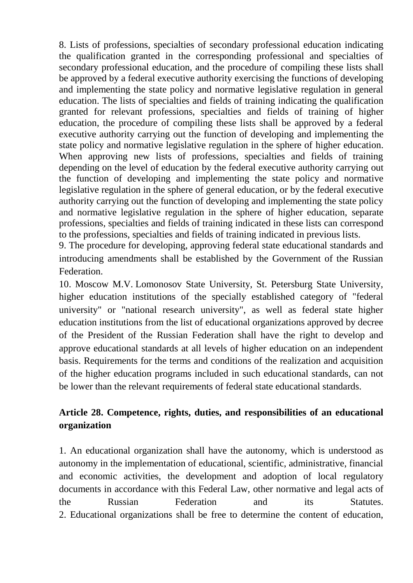8. Lists of professions, specialties of secondary professional education indicating the qualification granted in the corresponding professional and specialties of secondary professional education, and the procedure of compiling these lists shall be approved by a federal executive authority exercising the functions of developing and implementing the state policy and normative legislative regulation in general education. The lists of specialties and fields of training indicating the qualification granted for relevant professions, specialties and fields of training of higher education, the procedure of compiling these lists shall be approved by a federal executive authority carrying out the function of developing and implementing the state policy and normative legislative regulation in the sphere of higher education. When approving new lists of professions, specialties and fields of training depending on the level of education by the federal executive authority carrying out the function of developing and implementing the state policy and normative legislative regulation in the sphere of general education, or by the federal executive authority carrying out the function of developing and implementing the state policy and normative legislative regulation in the sphere of higher education, separate professions, specialties and fields of training indicated in these lists can correspond to the professions, specialties and fields of training indicated in previous lists.

9. The procedure for developing, approving federal state educational standards and introducing amendments shall be established by the Government of the Russian Federation.

10. Moscow M.V. Lomonosov State University, St. Petersburg State University, higher education institutions of the specially established category of "federal university" or "national research university", as well as federal state higher education institutions from the list of educational organizations approved by decree of the President of the Russian Federation shall have the right to develop and approve educational standards at all levels of higher education on an independent basis. Requirements for the terms and conditions of the realization and acquisition of the higher education programs included in such educational standards, can not be lower than the relevant requirements of federal state educational standards.

## **Article 28. Competence, rights, duties, and responsibilities of an educational organization**

1. An educational organization shall have the autonomy, which is understood as autonomy in the implementation of educational, scientific, administrative, financial and economic activities, the development and adoption of local regulatory documents in accordance with this Federal Law, other normative and legal acts of the Russian Federation and its Statutes. 2. Educational organizations shall be free to determine the content of education,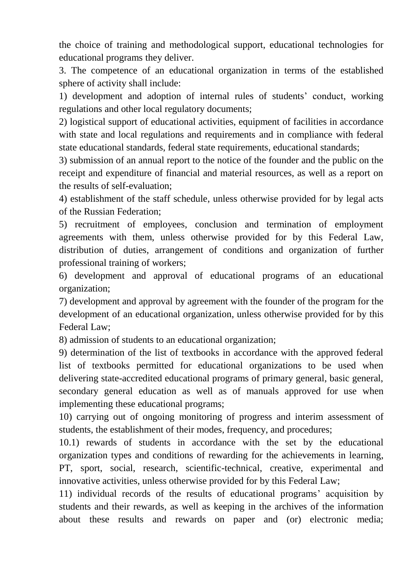the choice of training and methodological support, educational technologies for educational programs they deliver.

3. The competence of an educational organization in terms of the established sphere of activity shall include:

1) development and adoption of internal rules of students' conduct, working regulations and other local regulatory documents;

2) logistical support of educational activities, equipment of facilities in accordance with state and local regulations and requirements and in compliance with federal state educational standards, federal state requirements, educational standards;

3) submission of an annual report to the notice of the founder and the public on the receipt and expenditure of financial and material resources, as well as a report on the results of self-evaluation;

4) establishment of the staff schedule, unless otherwise provided for by legal acts of the Russian Federation;

5) recruitment of employees, conclusion and termination of employment agreements with them, unless otherwise provided for by this Federal Law, distribution of duties, arrangement of conditions and organization of further professional training of workers;

6) development and approval of educational programs of an educational organization;

7) development and approval by agreement with the founder of the program for the development of an educational organization, unless otherwise provided for by this Federal Law;

8) admission of students to an educational organization;

9) determination of the list of textbooks in accordance with the approved federal list of textbooks permitted for educational organizations to be used when delivering state-accredited educational programs of primary general, basic general, secondary general education as well as of manuals approved for use when implementing these educational programs;

10) carrying out of ongoing monitoring of progress and interim assessment of students, the establishment of their modes, frequency, and procedures;

10.1) rewards of students in accordance with the set by the educational organization types and conditions of rewarding for the achievements in learning, PT, sport, social, research, scientific-technical, creative, experimental and innovative activities, unless otherwise provided for by this Federal Law;

11) individual records of the results of educational programs' acquisition by students and their rewards, as well as keeping in the archives of the information about these results and rewards on paper and (or) electronic media;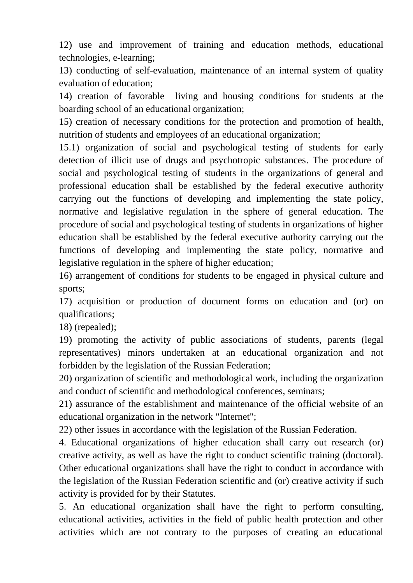12) use and improvement of training and education methods, educational technologies, e-learning;

13) conducting of self-evaluation, maintenance of an internal system of quality evaluation of education;

14) creation of favorable living and housing conditions for students at the boarding school of an educational organization;

15) creation of necessary conditions for the protection and promotion of health, nutrition of students and employees of an educational organization;

15.1) organization of social and psychological testing of students for early detection of illicit use of drugs and psychotropic substances. The procedure of social and psychological testing of students in the organizations of general and professional education shall be established by the federal executive authority carrying out the functions of developing and implementing the state policy, normative and legislative regulation in the sphere of general education. The procedure of social and psychological testing of students in organizations of higher education shall be established by the federal executive authority carrying out the functions of developing and implementing the state policy, normative and legislative regulation in the sphere of higher education;

16) arrangement of conditions for students to be engaged in physical culture and sports;

17) acquisition or production of document forms on education and (or) on qualifications;

18) (repealed);

19) promoting the activity of public associations of students, parents (legal representatives) minors undertaken at an educational organization and not forbidden by the legislation of the Russian Federation;

20) organization of scientific and methodological work, including the organization and conduct of scientific and methodological conferences, seminars;

21) assurance of the establishment and maintenance of the official website of an educational organization in the network "Internet";

22) other issues in accordance with the legislation of the Russian Federation.

4. Educational organizations of higher education shall carry out research (or) creative activity, as well as have the right to conduct scientific training (doctoral). Other educational organizations shall have the right to conduct in accordance with the legislation of the Russian Federation scientific and (or) creative activity if such activity is provided for by their Statutes.

5. An educational organization shall have the right to perform consulting, educational activities, activities in the field of public health protection and other activities which are not contrary to the purposes of creating an educational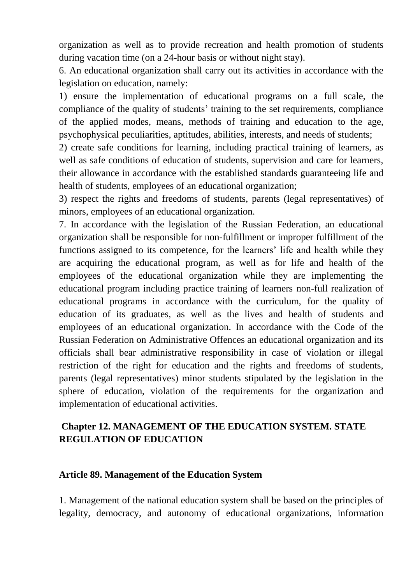organization as well as to provide recreation and health promotion of students during vacation time (on a 24-hour basis or without night stay).

6. An educational organization shall carry out its activities in accordance with the legislation on education, namely:

1) ensure the implementation of educational programs on a full scale, the compliance of the quality of students' training to the set requirements, compliance of the applied modes, means, methods of training and education to the age, psychophysical peculiarities, aptitudes, abilities, interests, and needs of students;

2) create safe conditions for learning, including practical training of learners, as well as safe conditions of education of students, supervision and care for learners, their allowance in accordance with the established standards guaranteeing life and health of students, employees of an educational organization;

3) respect the rights and freedoms of students, parents (legal representatives) of minors, employees of an educational organization.

7. In accordance with the legislation of the Russian Federation, an educational organization shall be responsible for non-fulfillment or improper fulfillment of the functions assigned to its competence, for the learners' life and health while they are acquiring the educational program, as well as for life and health of the employees of the educational organization while they are implementing the educational program including practice training of learners non-full realization of educational programs in accordance with the curriculum, for the quality of education of its graduates, as well as the lives and health of students and employees of an educational organization. In accordance with the Code of the Russian Federation on Administrative Offences an educational organization and its officials shall bear administrative responsibility in case of violation or illegal restriction of the right for education and the rights and freedoms of students, parents (legal representatives) minor students stipulated by the legislation in the sphere of education, violation of the requirements for the organization and implementation of educational activities.

## **Chapter 12. MANAGEMENT OF THE EDUCATION SYSTEM. STATE REGULATION OF EDUCATION**

#### **Article 89. Management of the Education System**

1. Management of the national education system shall be based on the principles of legality, democracy, and autonomy of educational organizations, information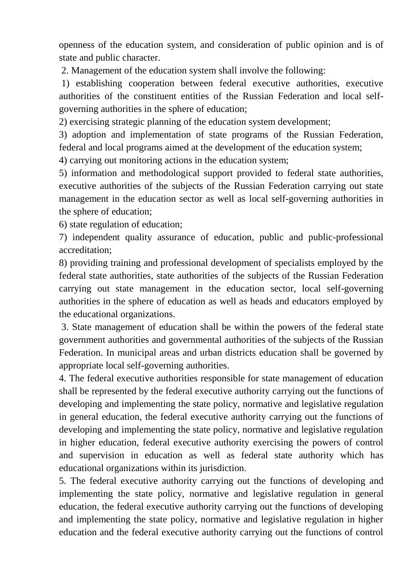openness of the education system, and consideration of public opinion and is of state and public character.

2. Management of the education system shall involve the following:

1) establishing cooperation between federal executive authorities, executive authorities of the constituent entities of the Russian Federation and local selfgoverning authorities in the sphere of education;

2) exercising strategic planning of the education system development;

3) adoption and implementation of state programs of the Russian Federation, federal and local programs aimed at the development of the education system;

4) carrying out monitoring actions in the education system;

5) information and methodological support provided to federal state authorities, executive authorities of the subjects of the Russian Federation carrying out state management in the education sector as well as local self-governing authorities in the sphere of education;

6) state regulation of education;

7) independent quality assurance of education, public and public-professional accreditation;

8) providing training and professional development of specialists employed by the federal state authorities, state authorities of the subjects of the Russian Federation carrying out state management in the education sector, local self-governing authorities in the sphere of education as well as heads and educators employed by the educational organizations.

3. State management of education shall be within the powers of the federal state government authorities and governmental authorities of the subjects of the Russian Federation. In municipal areas and urban districts education shall be governed by appropriate local self-governing authorities.

4. The federal executive authorities responsible for state management of education shall be represented by the federal executive authority carrying out the functions of developing and implementing the state policy, normative and legislative regulation in general education, the federal executive authority carrying out the functions of developing and implementing the state policy, normative and legislative regulation in higher education, federal executive authority exercising the powers of control and supervision in education as well as federal state authority which has educational organizations within its jurisdiction.

5. The federal executive authority carrying out the functions of developing and implementing the state policy, normative and legislative regulation in general education, the federal executive authority carrying out the functions of developing and implementing the state policy, normative and legislative regulation in higher education and the federal executive authority carrying out the functions of control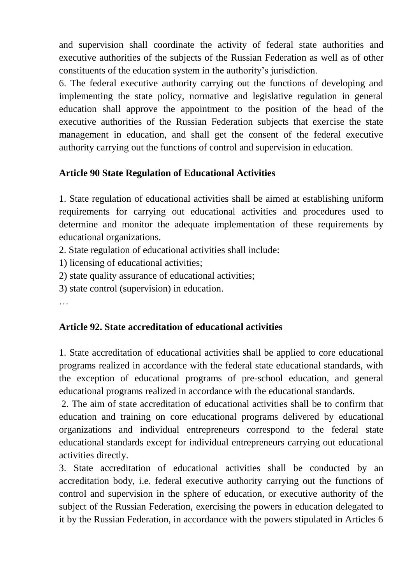and supervision shall coordinate the activity of federal state authorities and executive authorities of the subjects of the Russian Federation as well as of other constituents of the education system in the authority's jurisdiction.

6. The federal executive authority carrying out the functions of developing and implementing the state policy, normative and legislative regulation in general education shall approve the appointment to the position of the head of the executive authorities of the Russian Federation subjects that exercise the state management in education, and shall get the consent of the federal executive authority carrying out the functions of control and supervision in education.

## **Article 90 State Regulation of Educational Activities**

1. State regulation of educational activities shall be aimed at establishing uniform requirements for carrying out educational activities and procedures used to determine and monitor the adequate implementation of these requirements by educational organizations.

2. State regulation of educational activities shall include:

1) licensing of educational activities;

2) state quality assurance of educational activities;

3) state control (supervision) in education.

…

## **Article 92. State accreditation of educational activities**

1. State accreditation of educational activities shall be applied to core educational programs realized in accordance with the federal state educational standards, with the exception of educational programs of pre-school education, and general educational programs realized in accordance with the educational standards.

2. The aim of state accreditation of educational activities shall be to confirm that education and training on core educational programs delivered by educational organizations and individual entrepreneurs correspond to the federal state educational standards except for individual entrepreneurs carrying out educational activities directly.

3. State accreditation of educational activities shall be conducted by an accreditation body, i.e. federal executive authority carrying out the functions of control and supervision in the sphere of education, or executive authority of the subject of the Russian Federation, exercising the powers in education delegated to it by the Russian Federation, in accordance with the powers stipulated in Articles 6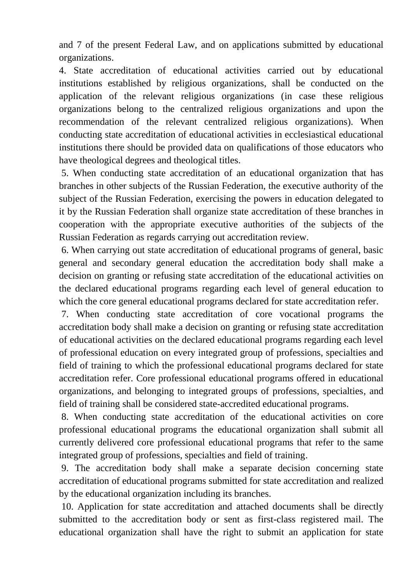and 7 of the present Federal Law, and on applications submitted by educational organizations.

4. State accreditation of educational activities carried out by educational institutions established by religious organizations, shall be conducted on the application of the relevant religious organizations (in case these religious organizations belong to the centralized religious organizations and upon the recommendation of the relevant centralized religious organizations). When conducting state accreditation of educational activities in ecclesiastical educational institutions there should be provided data on qualifications of those educators who have theological degrees and theological titles.

5. When conducting state accreditation of an educational organization that has branches in other subjects of the Russian Federation, the executive authority of the subject of the Russian Federation, exercising the powers in education delegated to it by the Russian Federation shall organize state accreditation of these branches in cooperation with the appropriate executive authorities of the subjects of the Russian Federation as regards carrying out accreditation review.

6. When carrying out state accreditation of educational programs of general, basic general and secondary general education the accreditation body shall make a decision on granting or refusing state accreditation of the educational activities on the declared educational programs regarding each level of general education to which the core general educational programs declared for state accreditation refer.

7. When conducting state accreditation of core vocational programs the accreditation body shall make a decision on granting or refusing state accreditation of educational activities on the declared educational programs regarding each level of professional education on every integrated group of professions, specialties and field of training to which the professional educational programs declared for state accreditation refer. Core professional educational programs offered in educational organizations, and belonging to integrated groups of professions, specialties, and field of training shall be considered state-accredited educational programs.

8. When conducting state accreditation of the educational activities on core professional educational programs the educational organization shall submit all currently delivered core professional educational programs that refer to the same integrated group of professions, specialties and field of training.

9. The accreditation body shall make a separate decision concerning state accreditation of educational programs submitted for state accreditation and realized by the educational organization including its branches.

10. Application for state accreditation and attached documents shall be directly submitted to the accreditation body or sent as first-class registered mail. The educational organization shall have the right to submit an application for state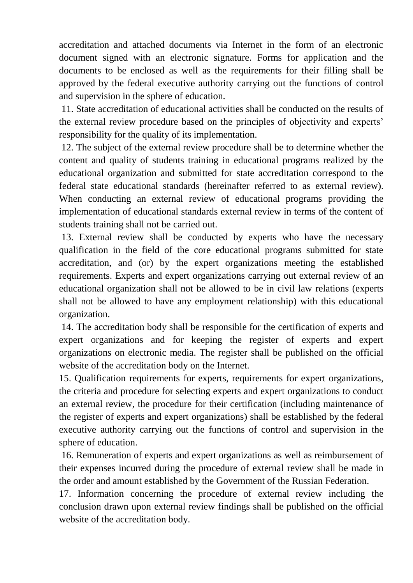accreditation and attached documents via Internet in the form of an electronic document signed with an electronic signature. Forms for application and the documents to be enclosed as well as the requirements for their filling shall be approved by the federal executive authority carrying out the functions of control and supervision in the sphere of education.

11. State accreditation of educational activities shall be conducted on the results of the external review procedure based on the principles of objectivity and experts' responsibility for the quality of its implementation.

12. The subject of the external review procedure shall be to determine whether the content and quality of students training in educational programs realized by the educational organization and submitted for state accreditation correspond to the federal state educational standards (hereinafter referred to as external review). When conducting an external review of educational programs providing the implementation of educational standards external review in terms of the content of students training shall not be carried out.

13. External review shall be conducted by experts who have the necessary qualification in the field of the core educational programs submitted for state accreditation, and (or) by the expert organizations meeting the established requirements. Experts and expert organizations carrying out external review of an educational organization shall not be allowed to be in civil law relations (experts shall not be allowed to have any employment relationship) with this educational organization.

14. The accreditation body shall be responsible for the certification of experts and expert organizations and for keeping the register of experts and expert organizations on electronic media. The register shall be published on the official website of the accreditation body on the Internet.

15. Qualification requirements for experts, requirements for expert organizations, the criteria and procedure for selecting experts and expert organizations to conduct an external review, the procedure for their certification (including maintenance of the register of experts and expert organizations) shall be established by the federal executive authority carrying out the functions of control and supervision in the sphere of education.

16. Remuneration of experts and expert organizations as well as reimbursement of their expenses incurred during the procedure of external review shall be made in the order and amount established by the Government of the Russian Federation.

17. Information concerning the procedure of external review including the conclusion drawn upon external review findings shall be published on the official website of the accreditation body.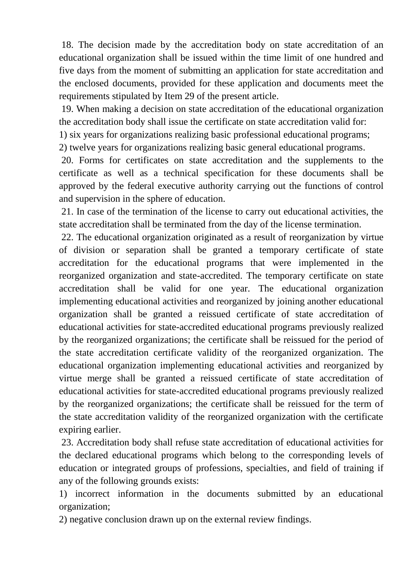18. The decision made by the accreditation body on state accreditation of an educational organization shall be issued within the time limit of one hundred and five days from the moment of submitting an application for state accreditation and the enclosed documents, provided for these application and documents meet the requirements stipulated by Item 29 of the present article.

19. When making a decision on state accreditation of the educational organization the accreditation body shall issue the certificate on state accreditation valid for:

1) six years for organizations realizing basic professional educational programs;

2) twelve years for organizations realizing basic general educational programs.

20. Forms for certificates on state accreditation and the supplements to the certificate as well as a technical specification for these documents shall be approved by the federal executive authority carrying out the functions of control and supervision in the sphere of education.

21. In case of the termination of the license to carry out educational activities, the state accreditation shall be terminated from the day of the license termination.

22. The educational organization originated as a result of reorganization by virtue of division or separation shall be granted a temporary certificate of state accreditation for the educational programs that were implemented in the reorganized organization and state-accredited. The temporary certificate on state accreditation shall be valid for one year. The educational organization implementing educational activities and reorganized by joining another educational organization shall be granted a reissued certificate of state accreditation of educational activities for state-accredited educational programs previously realized by the reorganized organizations; the certificate shall be reissued for the period of the state accreditation certificate validity of the reorganized organization. The educational organization implementing educational activities and reorganized by virtue merge shall be granted a reissued certificate of state accreditation of educational activities for state-accredited educational programs previously realized by the reorganized organizations; the certificate shall be reissued for the term of the state accreditation validity of the reorganized organization with the certificate expiring earlier.

23. Accreditation body shall refuse state accreditation of educational activities for the declared educational programs which belong to the corresponding levels of education or integrated groups of professions, specialties, and field of training if any of the following grounds exists:

1) incorrect information in the documents submitted by an educational organization;

2) negative conclusion drawn up on the external review findings.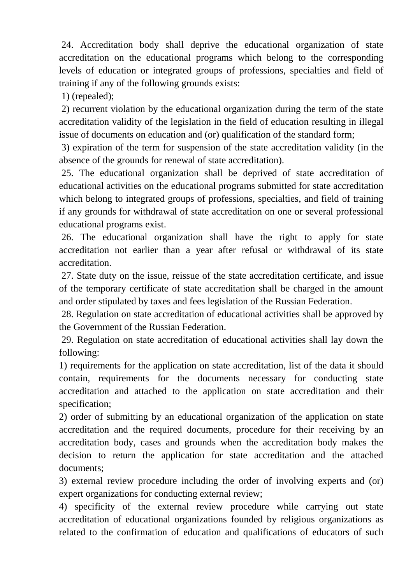24. Accreditation body shall deprive the educational organization of state accreditation on the educational programs which belong to the corresponding levels of education or integrated groups of professions, specialties and field of training if any of the following grounds exists:

1) (repealed);

2) recurrent violation by the educational organization during the term of the state accreditation validity of the legislation in the field of education resulting in illegal issue of documents on education and (or) qualification of the standard form;

3) expiration of the term for suspension of the state accreditation validity (in the absence of the grounds for renewal of state accreditation).

25. The educational organization shall be deprived of state accreditation of educational activities on the educational programs submitted for state accreditation which belong to integrated groups of professions, specialties, and field of training if any grounds for withdrawal of state accreditation on one or several professional educational programs exist.

26. The educational organization shall have the right to apply for state accreditation not earlier than a year after refusal or withdrawal of its state accreditation.

27. State duty on the issue, reissue of the state accreditation certificate, and issue of the temporary certificate of state accreditation shall be charged in the amount and order stipulated by taxes and fees legislation of the Russian Federation.

28. Regulation on state accreditation of educational activities shall be approved by the Government of the Russian Federation.

29. Regulation on state accreditation of educational activities shall lay down the following:

1) requirements for the application on state accreditation, list of the data it should contain, requirements for the documents necessary for conducting state accreditation and attached to the application on state accreditation and their specification;

2) order of submitting by an educational organization of the application on state accreditation and the required documents, procedure for their receiving by an accreditation body, cases and grounds when the accreditation body makes the decision to return the application for state accreditation and the attached documents;

3) external review procedure including the order of involving experts and (or) expert organizations for conducting external review;

4) specificity of the external review procedure while carrying out state accreditation of educational organizations founded by religious organizations as related to the confirmation of education and qualifications of educators of such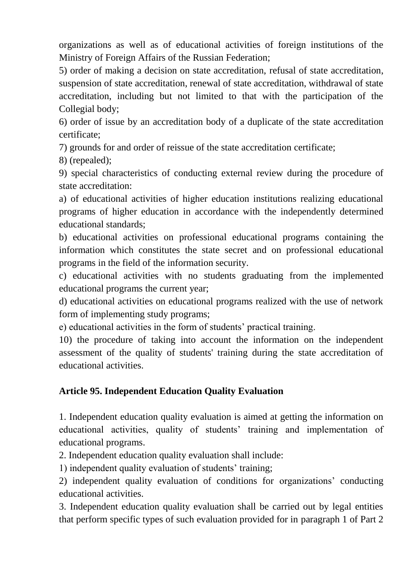organizations as well as of educational activities of foreign institutions of the Ministry of Foreign Affairs of the Russian Federation;

5) order of making a decision on state accreditation, refusal of state accreditation, suspension of state accreditation, renewal of state accreditation, withdrawal of state accreditation, including but not limited to that with the participation of the Collegial body;

6) order of issue by an accreditation body of a duplicate of the state accreditation certificate;

7) grounds for and order of reissue of the state accreditation certificate;

8) (repealed);

9) special characteristics of conducting external review during the procedure of state accreditation:

a) of educational activities of higher education institutions realizing educational programs of higher education in accordance with the independently determined educational standards;

b) educational activities on professional educational programs containing the information which constitutes the state secret and on professional educational programs in the field of the information security.

c) educational activities with no students graduating from the implemented educational programs the current year;

d) educational activities on educational programs realized with the use of network form of implementing study programs;

e) educational activities in the form of students' practical training.

10) the procedure of taking into account the information on the independent assessment of the quality of students' training during the state accreditation of educational activities.

## **Article 95. Independent Education Quality Evaluation**

1. Independent education quality evaluation is aimed at getting the information on educational activities, quality of students' training and implementation of educational programs.

2. Independent education quality evaluation shall include:

1) independent quality evaluation of students' training;

2) independent quality evaluation of conditions for organizations' conducting educational activities.

3. Independent education quality evaluation shall be carried out by legal entities that perform specific types of such evaluation provided for in paragraph 1 of Part 2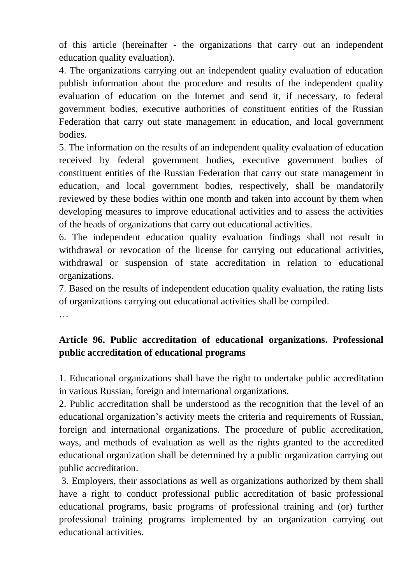of this article (hereinafter - the organizations that carry out an independent education quality evaluation).

4. The organizations carrying out an independent quality evaluation of education publish information about the procedure and results of the independent quality evaluation of education on the Internet and send it, if necessary, to federal government bodies, executive authorities of constituent entities of the Russian Federation that carry out state management in education, and local government bodies.

5. The information on the results of an independent quality evaluation of education received by federal government bodies, executive government bodies of constituent entities of the Russian Federation that carry out state management in education, and local government bodies, respectively, shall be mandatorily reviewed by these bodies within one month and taken into account by them when developing measures to improve educational activities and to assess the activities of the heads of organizations that carry out educational activities.

6. The independent education quality evaluation findings shall not result in withdrawal or revocation of the license for carrying out educational activities, withdrawal or suspension of state accreditation in relation to educational organizations.

7. Based on the results of independent education quality evaluation, the rating lists of organizations carrying out educational activities shall be compiled.

…

# **Article 96. Public accreditation of educational organizations. Professional public accreditation of educational programs**

1. Educational organizations shall have the right to undertake public accreditation in various Russian, foreign and international organizations.

2. Public accreditation shall be understood as the recognition that the level of an educational organization's activity meets the criteria and requirements of Russian, foreign and international organizations. The procedure of public accreditation, ways, and methods of evaluation as well as the rights granted to the accredited educational organization shall be determined by a public organization carrying out public accreditation.

3. Employers, their associations as well as organizations authorized by them shall have a right to conduct professional public accreditation of basic professional educational programs, basic programs of professional training and (or) further professional training programs implemented by an organization carrying out educational activities.